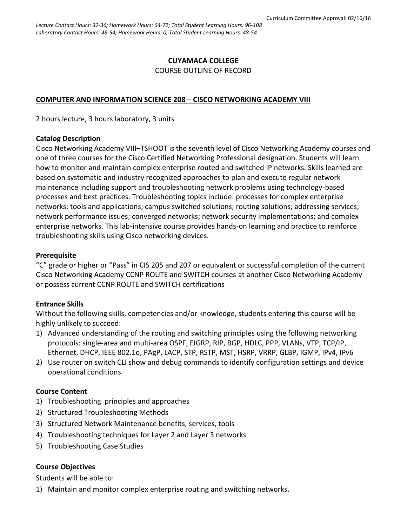### **CUYAMACA COLLEGE** COURSE OUTLINE OF RECORD

#### **COMPUTER AND INFORMATION SCIENCE 208** – **CISCO NETWORKING ACADEMY VIII**

2 hours lecture, 3 hours laboratory, 3 units

#### **Catalog Description**

Cisco Networking Academy VIII–TSHOOT is the seventh level of Cisco Networking Academy courses and one of three courses for the Cisco Certified Networking Professional designation. Students will learn how to monitor and maintain complex enterprise routed and switched IP networks. Skills learned are based on systematic and industry recognized approaches to plan and execute regular network maintenance including support and troubleshooting network problems using technology-based processes and best practices. Troubleshooting topics include: processes for complex enterprise networks; tools and applications; campus switched solutions; routing solutions; addressing services; network performance issues; converged networks; network security implementations; and complex enterprise networks. This lab-intensive course provides hands-on learning and practice to reinforce troubleshooting skills using Cisco networking devices.

#### **Prerequisite**

"C" grade or higher or "Pass" in CIS 205 and 207 or equivalent or successful completion of the current Cisco Networking Academy CCNP ROUTE and SWITCH courses at another Cisco Networking Academy or possess current CCNP ROUTE and SWITCH certifications

#### **Entrance Skills**

Without the following skills, competencies and/or knowledge, students entering this course will be highly unlikely to succeed:

- 1) Advanced understanding of the routing and switching principles using the following networking protocols: single-area and multi-area OSPF, EIGRP, RIP, BGP, HDLC, PPP, VLANs, VTP, TCP/IP, Ethernet, DHCP, IEEE 802.1q, PAgP, LACP, STP, RSTP, MST, HSRP, VRRP, GLBP, IGMP, IPv4, IPv6
- 2) Use router on switch CLI show and debug commands to identify configuration settings and device operational conditions

#### **Course Content**

- 1) Troubleshooting principles and approaches
- 2) Structured Troubleshooting Methods
- 3) Structured Network Maintenance benefits, services, tools
- 4) Troubleshooting techniques for Layer 2 and Layer 3 networks
- 5) Troubleshooting Case Studies

#### **Course Objectives**

Students will be able to:

1) Maintain and monitor complex enterprise routing and switching networks.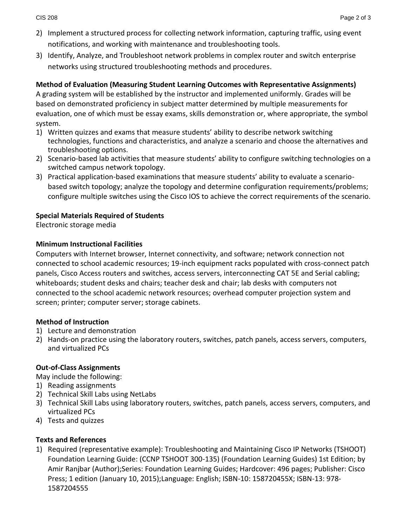- 2) Implement a structured process for collecting network information, capturing traffic, using event notifications, and working with maintenance and troubleshooting tools.
- 3) Identify, Analyze, and Troubleshoot network problems in complex router and switch enterprise networks using structured troubleshooting methods and procedures.

## **Method of Evaluation (Measuring Student Learning Outcomes with Representative Assignments)**

A grading system will be established by the instructor and implemented uniformly. Grades will be based on demonstrated proficiency in subject matter determined by multiple measurements for evaluation, one of which must be essay exams, skills demonstration or, where appropriate, the symbol system.

- 1) Written quizzes and exams that measure students' ability to describe network switching technologies, functions and characteristics, and analyze a scenario and choose the alternatives and troubleshooting options.
- 2) Scenario-based lab activities that measure students' ability to configure switching technologies on a switched campus network topology.
- 3) Practical application-based examinations that measure students' ability to evaluate a scenariobased switch topology; analyze the topology and determine configuration requirements/problems; configure multiple switches using the Cisco IOS to achieve the correct requirements of the scenario.

## **Special Materials Required of Students**

Electronic storage media

## **Minimum Instructional Facilities**

Computers with Internet browser, Internet connectivity, and software; network connection not connected to school academic resources; 19-inch equipment racks populated with cross-connect patch panels, Cisco Access routers and switches, access servers, interconnecting CAT 5E and Serial cabling; whiteboards; student desks and chairs; teacher desk and chair; lab desks with computers not connected to the school academic network resources; overhead computer projection system and screen; printer; computer server; storage cabinets.

## **Method of Instruction**

- 1) Lecture and demonstration
- 2) Hands-on practice using the laboratory routers, switches, patch panels, access servers, computers, and virtualized PCs

# **Out-of-Class Assignments**

May include the following:

- 1) Reading assignments
- 2) Technical Skill Labs using NetLabs
- 3) Technical Skill Labs using laboratory routers, switches, patch panels, access servers, computers, and virtualized PCs
- 4) Tests and quizzes

## **Texts and References**

1) Required (representative example): Troubleshooting and Maintaining Cisco IP Networks (TSHOOT) Foundation Learning Guide: (CCNP TSHOOT 300-135) (Foundation Learning Guides) 1st Edition; by Amir Ranjbar (Author);Series: Foundation Learning Guides; Hardcover: 496 pages; Publisher: Cisco Press; 1 edition (January 10, 2015);Language: English; ISBN-10: 158720455X; ISBN-13: 978- 1587204555